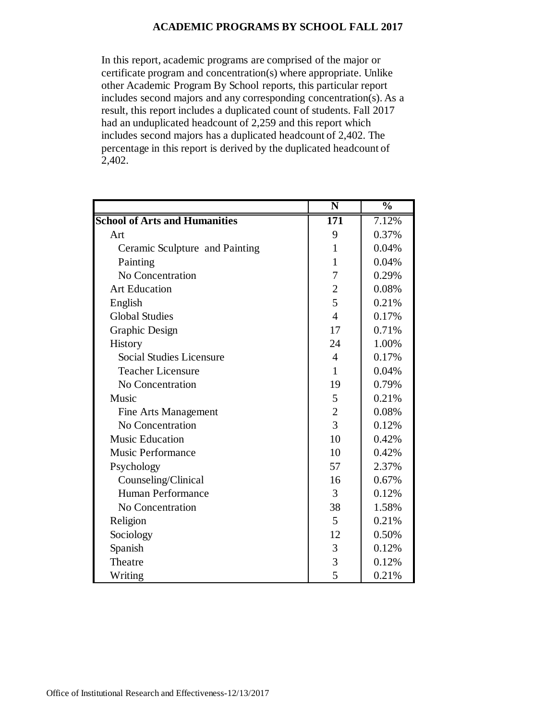In this report, academic programs are comprised of the major or certificate program and concentration(s) where appropriate. Unlike other Academic Program By School reports, this particular report includes second majors and any corresponding concentration(s). As a result, this report includes a duplicated count of students. Fall 2017 had an unduplicated headcount of 2,259 and this report which includes second majors has a duplicated headcount of 2,402. The percentage in this report is derived by the duplicated headcount of 2,402.

|                                      | N                | $\overline{\mathbf{0}}_{\mathbf{0}}$ |
|--------------------------------------|------------------|--------------------------------------|
| <b>School of Arts and Humanities</b> | $\overline{171}$ | 7.12%                                |
| Art                                  | 9                | 0.37%                                |
| Ceramic Sculpture and Painting       | $\mathbf{1}$     | 0.04%                                |
| Painting                             | 1                | 0.04%                                |
| <b>No Concentration</b>              | 7                | 0.29%                                |
| <b>Art Education</b>                 | $\overline{2}$   | 0.08%                                |
| English                              | 5                | 0.21%                                |
| <b>Global Studies</b>                | $\overline{4}$   | 0.17%                                |
| <b>Graphic Design</b>                | 17               | 0.71%                                |
| History                              | 24               | 1.00%                                |
| Social Studies Licensure             | $\overline{4}$   | 0.17%                                |
| <b>Teacher Licensure</b>             | 1                | 0.04%                                |
| No Concentration                     | 19               | 0.79%                                |
| Music                                | 5                | 0.21%                                |
| Fine Arts Management                 | $\overline{2}$   | 0.08%                                |
| No Concentration                     | $\overline{3}$   | 0.12%                                |
| <b>Music Education</b>               | 10               | 0.42%                                |
| <b>Music Performance</b>             | 10               | 0.42%                                |
| Psychology                           | 57               | 2.37%                                |
| Counseling/Clinical                  | 16               | 0.67%                                |
| <b>Human Performance</b>             | 3                | 0.12%                                |
| No Concentration                     | 38               | 1.58%                                |
| Religion                             | 5                | 0.21%                                |
| Sociology                            | 12               | 0.50%                                |
| Spanish                              | 3                | 0.12%                                |
| Theatre                              | 3                | 0.12%                                |
| Writing                              | 5                | 0.21%                                |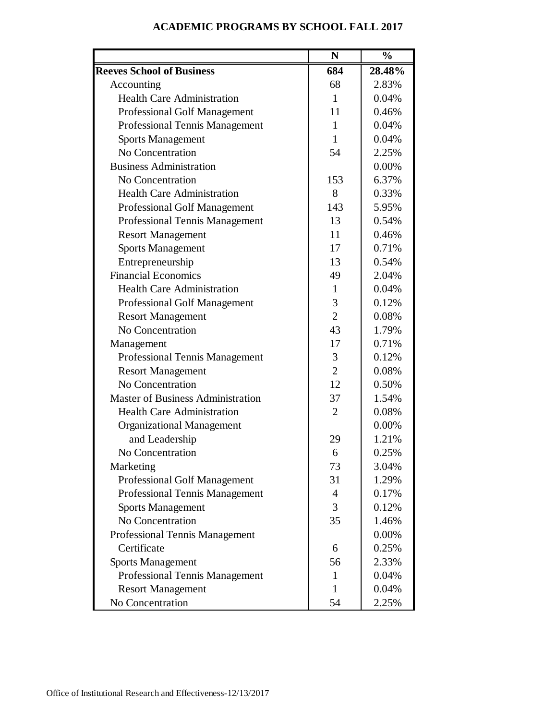|                                          | N              | $\frac{0}{0}$ |
|------------------------------------------|----------------|---------------|
| <b>Reeves School of Business</b>         | 684            | 28.48%        |
| Accounting                               | 68             | 2.83%         |
| <b>Health Care Administration</b>        | $\mathbf{1}$   | 0.04%         |
| <b>Professional Golf Management</b>      | 11             | 0.46%         |
| <b>Professional Tennis Management</b>    | 1              | 0.04%         |
| <b>Sports Management</b>                 | $\mathbf{1}$   | 0.04%         |
| No Concentration                         | 54             | 2.25%         |
| <b>Business Administration</b>           |                | 0.00%         |
| No Concentration                         | 153            | 6.37%         |
| <b>Health Care Administration</b>        | 8              | 0.33%         |
| <b>Professional Golf Management</b>      | 143            | 5.95%         |
| <b>Professional Tennis Management</b>    | 13             | 0.54%         |
| <b>Resort Management</b>                 | 11             | 0.46%         |
| <b>Sports Management</b>                 | 17             | 0.71%         |
| Entrepreneurship                         | 13             | 0.54%         |
| <b>Financial Economics</b>               | 49             | 2.04%         |
| <b>Health Care Administration</b>        | $\mathbf{1}$   | 0.04%         |
| <b>Professional Golf Management</b>      | 3              | 0.12%         |
| <b>Resort Management</b>                 | $\overline{2}$ | 0.08%         |
| No Concentration                         | 43             | 1.79%         |
| Management                               | 17             | 0.71%         |
| Professional Tennis Management           | 3              | 0.12%         |
| <b>Resort Management</b>                 | $\overline{2}$ | 0.08%         |
| No Concentration                         | 12             | 0.50%         |
| <b>Master of Business Administration</b> | 37             | 1.54%         |
| <b>Health Care Administration</b>        | $\overline{2}$ | 0.08%         |
| <b>Organizational Management</b>         |                | 0.00%         |
| and Leadership                           | 29             | 1.21%         |
| No Concentration                         | 6              | 0.25%         |
| Marketing                                | 73             | 3.04%         |
| <b>Professional Golf Management</b>      | 31             | 1.29%         |
| Professional Tennis Management           | 4              | 0.17%         |
| <b>Sports Management</b>                 | 3              | 0.12%         |
| <b>No Concentration</b>                  | 35             | 1.46%         |
| Professional Tennis Management           |                | 0.00%         |
| Certificate                              | 6              | 0.25%         |
| <b>Sports Management</b>                 | 56             | 2.33%         |
| Professional Tennis Management           | 1              | 0.04%         |
| <b>Resort Management</b>                 | $\mathbf{1}$   | 0.04%         |
| No Concentration                         | 54             | 2.25%         |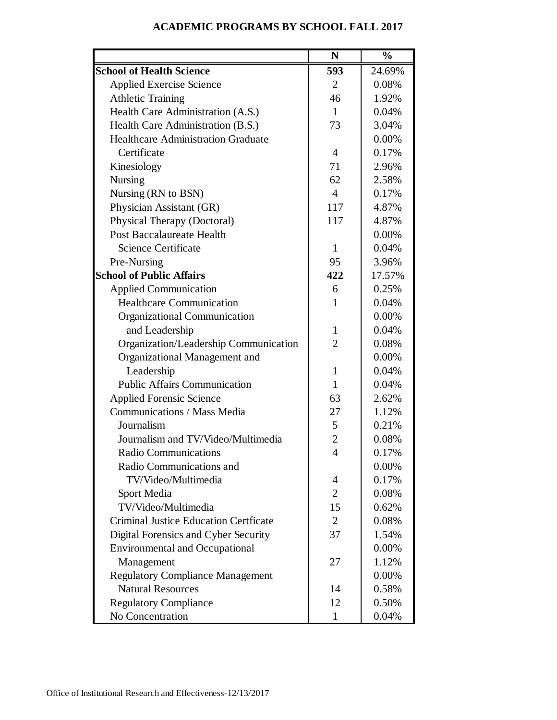|                                              | N              | $\overline{\mathbf{0}}_{\mathbf{0}}$ |
|----------------------------------------------|----------------|--------------------------------------|
| <b>School of Health Science</b>              | 593            | 24.69%                               |
| <b>Applied Exercise Science</b>              | $\overline{2}$ | 0.08%                                |
| <b>Athletic Training</b>                     | 46             | 1.92%                                |
| Health Care Administration (A.S.)            | 1              | 0.04%                                |
| Health Care Administration (B.S.)            | 73             | 3.04%                                |
| <b>Healthcare Administration Graduate</b>    |                | 0.00%                                |
| Certificate                                  | $\overline{4}$ | 0.17%                                |
| Kinesiology                                  | 71             | 2.96%                                |
| <b>Nursing</b>                               | 62             | 2.58%                                |
| Nursing (RN to BSN)                          | $\overline{4}$ | 0.17%                                |
| Physician Assistant (GR)                     | 117            | 4.87%                                |
| Physical Therapy (Doctoral)                  | 117            | 4.87%                                |
| Post Baccalaureate Health                    |                | 0.00%                                |
| <b>Science Certificate</b>                   | $\mathbf{1}$   | 0.04%                                |
| Pre-Nursing                                  | 95             | 3.96%                                |
| <b>School of Public Affairs</b>              | 422            | 17.57%                               |
| <b>Applied Communication</b>                 | 6              | 0.25%                                |
| <b>Healthcare Communication</b>              | 1              | 0.04%                                |
| Organizational Communication                 |                | 0.00%                                |
| and Leadership                               | $\mathbf{1}$   | 0.04%                                |
| Organization/Leadership Communication        | $\overline{2}$ | 0.08%                                |
| Organizational Management and                |                | 0.00%                                |
| Leadership                                   | $\mathbf{1}$   | 0.04%                                |
| <b>Public Affairs Communication</b>          | 1              | 0.04%                                |
| <b>Applied Forensic Science</b>              | 63             | 2.62%                                |
| Communications / Mass Media                  | 27             | 1.12%                                |
| Journalism                                   | 5              | 0.21%                                |
| Journalism and TV/Video/Multimedia           | $\overline{c}$ | 0.08%                                |
| <b>Radio Communications</b>                  | 4              | 0.17%                                |
| Radio Communications and                     |                | 0.00%                                |
| TV/Video/Multimedia                          | 4              | 0.17%                                |
| Sport Media                                  | $\overline{2}$ | 0.08%                                |
| TV/Video/Multimedia                          | 15             | 0.62%                                |
| <b>Criminal Justice Education Certficate</b> | $\overline{2}$ | 0.08%                                |
| Digital Forensics and Cyber Security         | 37             | 1.54%                                |
| <b>Environmental and Occupational</b>        |                | 0.00%                                |
| Management                                   | 27             | 1.12%                                |
| <b>Regulatory Compliance Management</b>      |                | 0.00%                                |
| <b>Natural Resources</b>                     | 14             | 0.58%                                |
| <b>Regulatory Compliance</b>                 | 12             | 0.50%                                |
| No Concentration                             | 1              | 0.04%                                |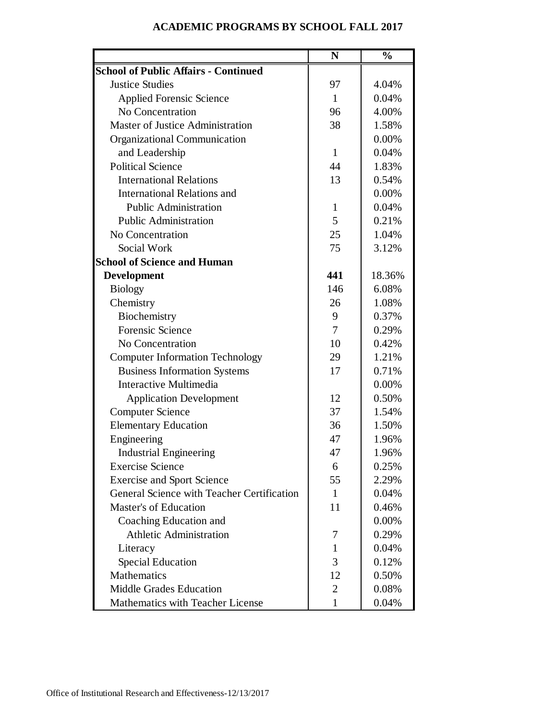|                                             | N            | $\overline{\frac{0}{6}}$ |
|---------------------------------------------|--------------|--------------------------|
| <b>School of Public Affairs - Continued</b> |              |                          |
| <b>Justice Studies</b>                      | 97           | 4.04%                    |
| <b>Applied Forensic Science</b>             | $\mathbf{1}$ | 0.04%                    |
| No Concentration                            | 96           | 4.00%                    |
| <b>Master of Justice Administration</b>     | 38           | 1.58%                    |
| Organizational Communication                |              | 0.00%                    |
| and Leadership                              | $\mathbf{1}$ | 0.04%                    |
| <b>Political Science</b>                    | 44           | 1.83%                    |
| <b>International Relations</b>              | 13           | 0.54%                    |
| <b>International Relations and</b>          |              | 0.00%                    |
| <b>Public Administration</b>                | $\mathbf{1}$ | 0.04%                    |
| <b>Public Administration</b>                | 5            | 0.21%                    |
| No Concentration                            | 25           | 1.04%                    |
| Social Work                                 | 75           | 3.12%                    |
| <b>School of Science and Human</b>          |              |                          |
| <b>Development</b>                          | 441          | 18.36%                   |
| <b>Biology</b>                              | 146          | 6.08%                    |
| Chemistry                                   | 26           | 1.08%                    |
| Biochemistry                                | 9            | 0.37%                    |
| <b>Forensic Science</b>                     | 7            | 0.29%                    |
| No Concentration                            | 10           | 0.42%                    |
| <b>Computer Information Technology</b>      | 29           | 1.21%                    |
| <b>Business Information Systems</b>         | 17           | 0.71%                    |
| Interactive Multimedia                      |              | 0.00%                    |
| <b>Application Development</b>              | 12           | 0.50%                    |
| <b>Computer Science</b>                     | 37           | 1.54%                    |
| <b>Elementary Education</b>                 | 36           | 1.50%                    |
| Engineering                                 | 47           | 1.96%                    |
| <b>Industrial Engineering</b>               | 47           | 1.96%                    |
| <b>Exercise Science</b>                     | 6            | 0.25%                    |
| <b>Exercise and Sport Science</b>           | 55           | 2.29%                    |
| General Science with Teacher Certification  | $\mathbf{1}$ | 0.04%                    |
| <b>Master's of Education</b>                | 11           | 0.46%                    |
| Coaching Education and                      |              | 0.00%                    |
| <b>Athletic Administration</b>              | 7            | 0.29%                    |
| Literacy                                    | 1            | 0.04%                    |
| <b>Special Education</b>                    | 3            | 0.12%                    |
| <b>Mathematics</b>                          | 12           | 0.50%                    |
| <b>Middle Grades Education</b>              | 2            | 0.08%                    |
| Mathematics with Teacher License            | 1            | 0.04%                    |